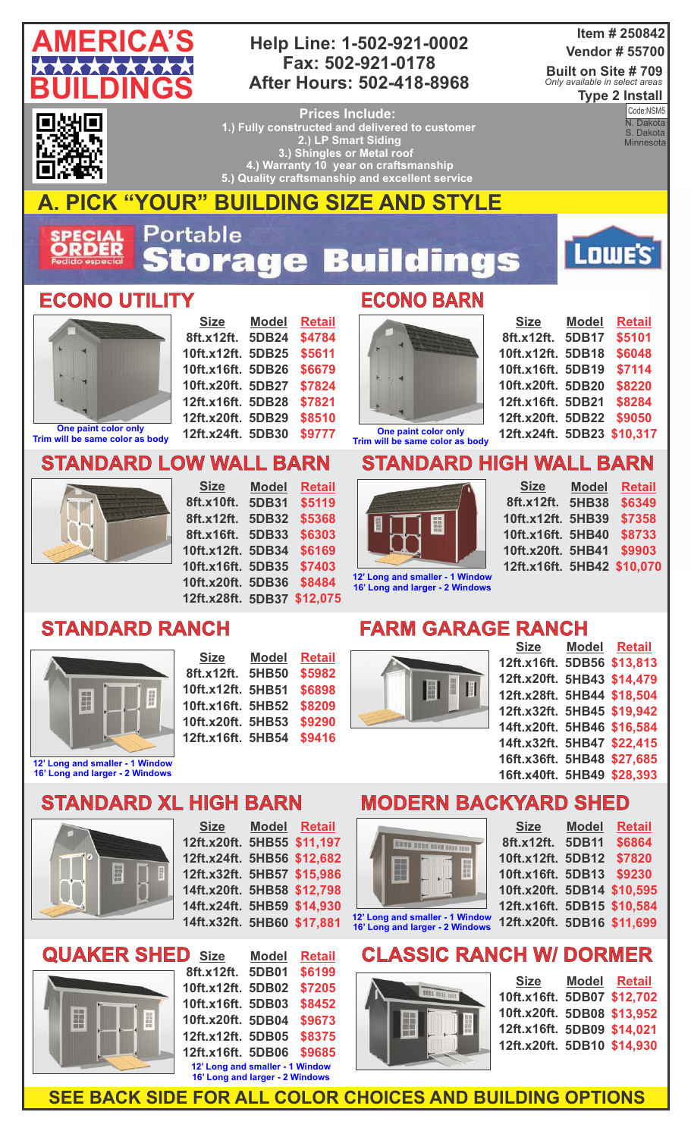

#### **Help Line: 1-502-921-0002 Fax: 502-921-0178 After Hours: 502-418-8968**

#### **Item # 250842 Vendor # 55700**

**Built on Site # 709 Type 2 Install** *Only available in select areas*

▎▆ 87

**Prices Include: 1.) Fully constructed and delivered to customer 2.) LP Smart Siding 3.) Shingles or Metal roof 4.) Warranty 10 year on craftsmanship 5.) Quality craftsmanship and excellent service** 

**Code:**<br>N. Dakota Code:NSM5 S. Dakota **Minnesota** 

**AMERICA'S CONSTRUCTION** 

Lowe's<sup>®</sup>



# **A. PICK "YOUR" BUILDING SIZE AND STYLE**

Portable **ECIAL**<br>RDER tora 53 ngs  $\mathbf{Q}$ ÷

#### **ECONO UTILITY ECONO BARN**



**Trim will be same color as body**

**Size 8ft.x12ft. 5DB24 10ft.x12ft. 5DB25 10ft.x16ft. 5DB26 10ft.x20ft. 5DB27 12ft.x16ft. 5DB28 12ft.x20ft. 5DB29 12ft.x24ft. 5DB30 Model Retail \$4784 \$5611 \$6679 \$7824 \$7821 \$8510 \$9777**

#### **STANDARD LOW WALL BARN**



**Size 8ft.x10ft. 5DB31 8ft.x12ft. 5DB32 8ft.x16ft. 5DB33 10ft.x12ft. 5DB34 10ft.x16ft. 5DB35 10ft.x20ft. 5DB36 \$8484 12ft.x28ft. 5DB37 \$12,075 Model Retail \$5119 \$5368 \$6303 \$6169 \$7403**

# **STANDARD RANCH**



| <b>Size</b>       | <b>Model</b> | <b>Retail</b> |
|-------------------|--------------|---------------|
| 8ft.x12ft.        | 5HB50        | \$5982        |
| 10ft.x12ft. 5HB51 |              | \$6898        |
| 10ft.x16ft. 5HB52 |              | \$8209        |
| 10ft.x20ft. 5HB53 |              | \$9290        |
| 12ft.x16ft. 5HB54 |              | \$9416        |



| <b>Size</b>                | <b>Model</b> | <b>Retail</b> |
|----------------------------|--------------|---------------|
| 8ft.x12ft.                 | 5DB17        | \$5101        |
| 10ft.x12ft.                | 5DB18        | \$6048        |
| 10ft.x16ft. 5DB19          |              | \$7114        |
| 10ft.x20ft. 5DB20          |              | \$8220        |
| 12ft.x16ft. 5DB21          |              | \$8284        |
| 12ft.x20ft. 5DB22          |              | \$9050        |
| 12ft.x24ft. 5DB23 \$10,317 |              |               |

## **STANDARD HIGH WALL BARN**



**Size 8ft.x12ft. 5HB38 10ft.x12ft. 5HB39 10ft.x16ft. 5HB40 10ft.x20ft. 5HB41 12ft.x16ft. 5HB42 \$10,070 Model Retail \$6349 \$7358 \$8733 \$9903**

**12' Long and smaller - 1 Window 16' Long and larger - 2 Windows**

## **FARM GARAGE RANCH**



| <u>Size</u>                | <b>Model Retail</b> |
|----------------------------|---------------------|
| 12ft.x16ft. 5DB56 \$13,813 |                     |
| 12ft.x20ft.                | 5HB43 \$14,479      |
| 12ft.x28ft. 5HB44 \$18,504 |                     |
| 12ft.x32ft. 5HB45 \$19.942 |                     |
| 14ft.x20ft.                | 5HB46 \$16,584      |
| 14ft.x32ft.                | 5HB47 \$22,415      |
| 16ft.x36ft. 5HB48 \$27,685 |                     |
| 16ft.x40ft. 5HB49 \$28,393 |                     |
|                            |                     |

#### **STANDARD XL HIGH BARN 16' Long and larger - 2 Windows**



**Size 12ft.x20ft. 5HB55 \$11,197 12ft.x24ft. 5HB56 \$12,682 12ft.x32ft. 5HB57 \$15,986 14ft.x20ft. 5HB58 \$12,798 14ft.x24ft. 5HB59 \$14,930 14ft.x32ft. 5HB60 \$17,881 Model Retail**



| <b>Size</b><br>D                | <b>Model</b> | <b>Retail</b> |
|---------------------------------|--------------|---------------|
| 8ft.x12ft.                      | 5DB01        | \$6199        |
| 10ft.x12ft.                     | 5DB02        | \$7205        |
| 10ft.x16ft.                     | 5DB03        | \$8452        |
| 10ft.x20ft. 5DB04               |              | \$9673        |
| 12ft.x12ft. 5DB05               |              | \$8375        |
| 12ft.x16ft. 5DB06               |              | \$9685        |
| 12' Long and smaller - 1 Window |              |               |
| 16' Long and larger - 2 Windows |              |               |

## **MODERN BACKYARD SHED**

**Size**



**16' Long and larger - 2 Windows**

| 8ft.x12ft. 5DB11         | \$6864                     |
|--------------------------|----------------------------|
| 10ft.x12ft. 5DB12        | \$7820                     |
| 10ft.x16ft. 5DB13 \$9230 |                            |
|                          | 10ft.x20ft. 5DB14 \$10,595 |
|                          | 12ft.x16ft. 5DB15 \$10,584 |
|                          | 12ft.x20ft. 5DB16 \$11,699 |
|                          |                            |

**Model Retail**

# **ASSIC RANCH W/ DORMER**



| <b>Size</b>                | Model Retail |
|----------------------------|--------------|
| 10ft.x16ft. 5DB07 \$12,702 |              |
| 10ft.x20ft. 5DB08 \$13,952 |              |
| 12ft.x16ft. 5DB09 \$14,021 |              |
| 12ft.x20ft. 5DB10 \$14,930 |              |

**SEE BACK SIDE FOR ALL COLOR CHOICES AND BUILDING OPTIONS**